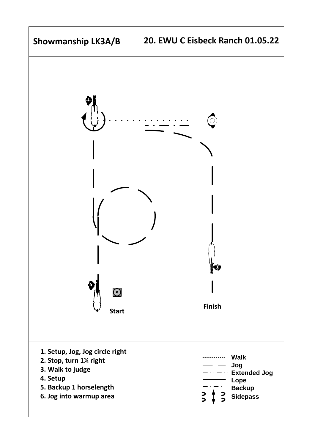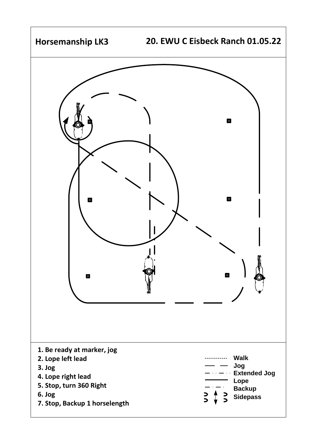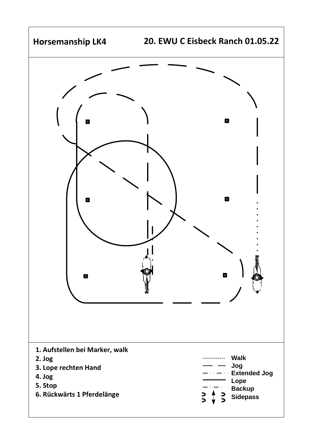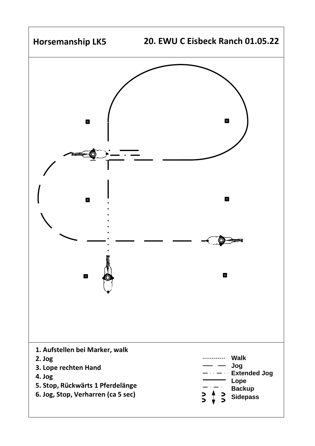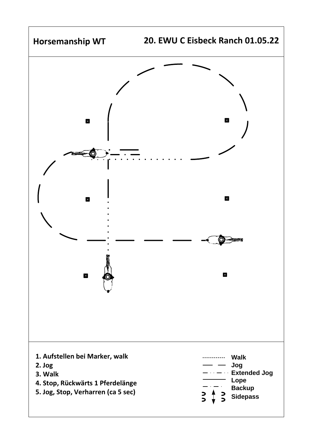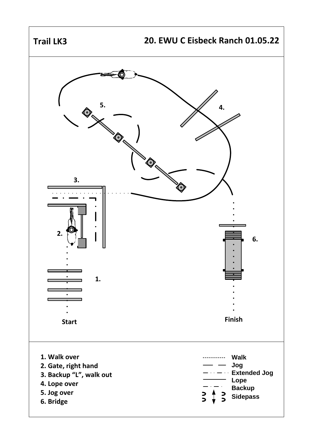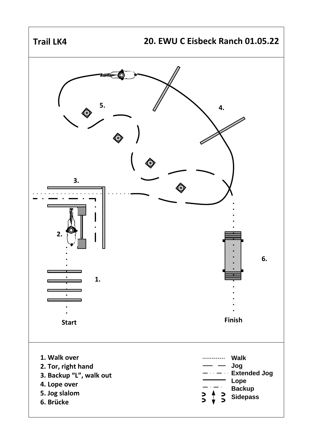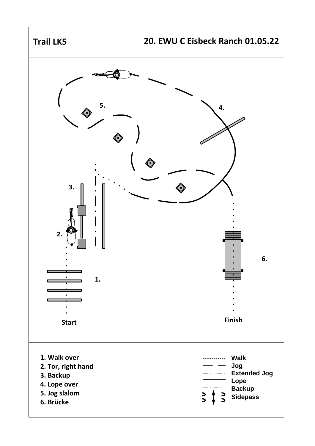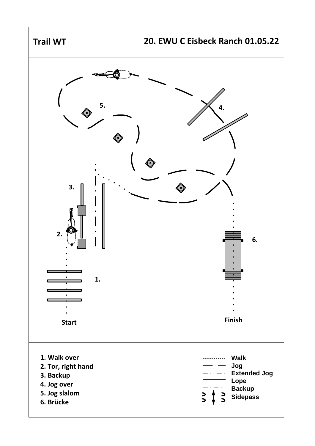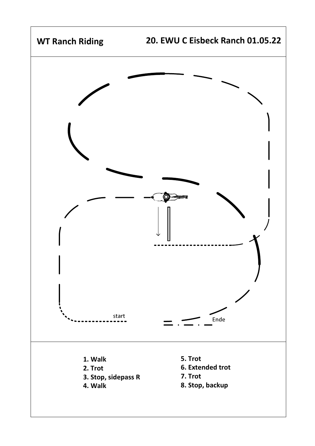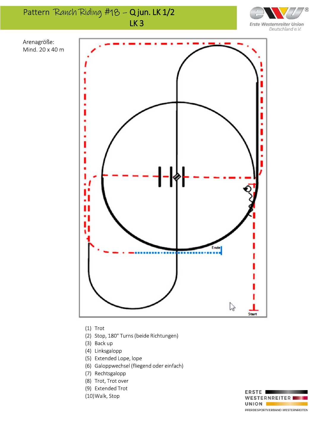Pattern Ranch Riding #18 - Qjun. LK 1/2 LK<sub>3</sub>





Mind. 20 x 40 m

Arenagröße:

- $(1)$  Trot
- (2) Stop, 180° Turns (beide Richtungen)
- (3) Back up
- (4) Linksgalopp
- (5) Extended Lope, lope
- (6) Galoppwechsel (fliegend oder einfach)
- (7) Rechtsgalopp
- (8) Trot, Trot over
- (9) Extended Trot
- (10) Walk, Stop

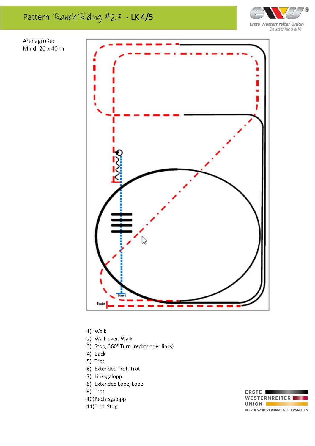



Arenagröße: Mind. 20 x 40 m



 $(1)$  Walk

- (2) Walk over, Walk
- (3) Stop, 360° Turn (rechts oder links)
- (4) Back
- $(5)$  Trot
- (6) Extended Trot, Trot
- (7) Linksgalopp
- (8) Extended Lope, Lope
- $(9)$  Trot
- (10)Rechtsgalopp
- (11)Trot, Stop

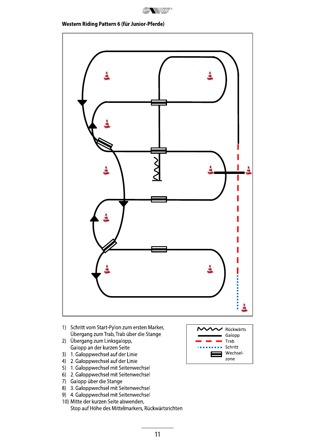

## Western Riding Pattern 6 (für Junior-Pferde)



- 1) Schritt vom Start-Pylon zum ersten Marker, Übergang zum Trab, Trab über die Stange
- 2) Übergang zum Linksgalopp, Galopp an der kurzen Seite
- 3) 1. Galoppwechsel auf der Linie
- 4) 2. Galoppwechsel auf der Linie
- 5) 1. Galoppwechsel mit Seitenwechsel
- 6) 2. Galoppwechsel mit Seitenwechsel
- 7) Galopp über die Stange
- 8) 3. Galoppwechsel mit Seitenwechsel
- 9) 4. Galoppwechsel mit Seitenwechsel
- 10) Mitte der kurzen Seite abwenden, Stop auf Höhe des Mittelmarkers, Rückwärtsrichten